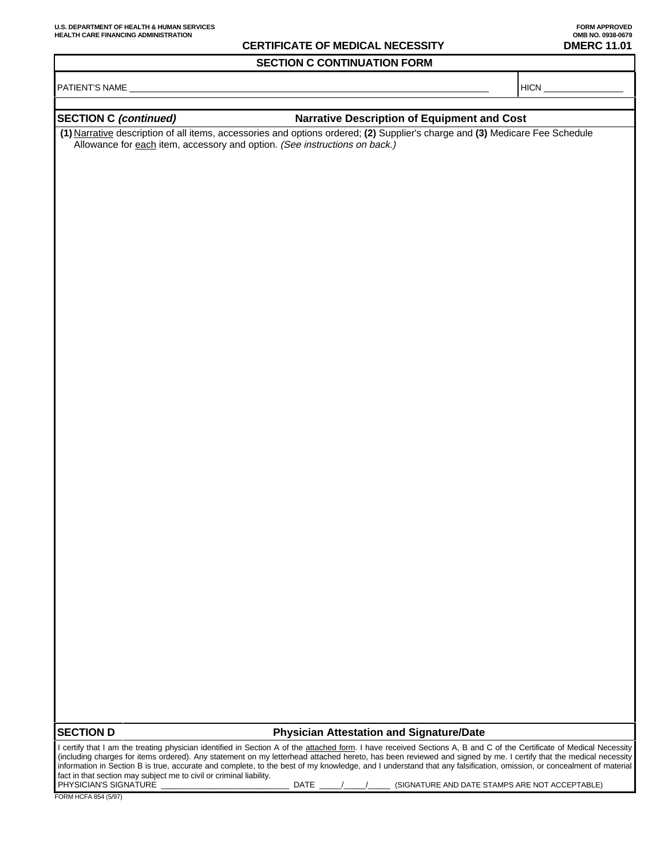## **CERTIFICATE OF MEDICAL NECESSITY DMERC 11.01**

**SECTION C CONTINUATION FORM**

PATIENT'S NAME HICN

## **SECTION C (continued) Narrative Description of Equipment and Cost**

**(1)** Narrative description of all items, accessories and options ordered; **(2)** Supplier's charge and **(3)** Medicare Fee Schedule Allowance for each item, accessory and option. (See instructions on back.)

**SECTION D Physician Attestation and Signature/Date**

I certify that I am the treating physician identified in Section A of the attached form. I have received Sections A, B and C of the Certificate of Medical Necessity (including charges for items ordered). Any statement on my letterhead attached hereto, has been reviewed and signed by me. I certify that the medical necessity information in Section B is true, accurate and complete, to the best of my knowledge, and I understand that any falsification, omission, or concealment of material fact in that section may subject me to civil or criminal liability.<br>PHYSICIAN'S SIGNATURE PHYSICIAN'S SIGNATURE \_\_\_\_\_\_\_\_\_\_\_\_\_\_\_\_\_\_\_\_\_\_\_\_\_\_\_\_\_ DATE \_\_\_\_\_/\_\_\_\_\_/\_\_\_\_\_ (SIGNATURE AND DATE STAMPS ARE NOT ACCEPTABLE)

FORM HCFA 854 (5/97)